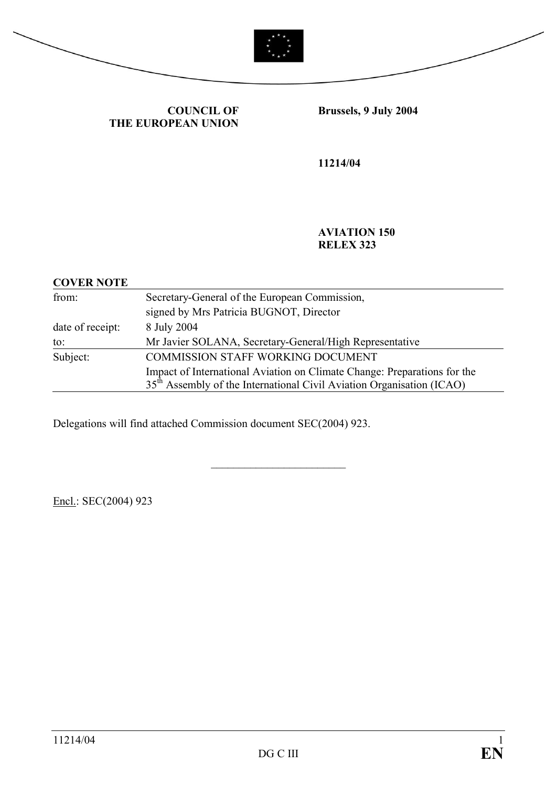



**COUNCIL OF THE EUROPEAN UNION** **Brussels, 9 July 2004**

**11214/04**

**AVIATION 150 RELEX 323**

| <b>COVER NOTE</b> |                                                                                                                                                               |
|-------------------|---------------------------------------------------------------------------------------------------------------------------------------------------------------|
| from:             | Secretary-General of the European Commission,                                                                                                                 |
|                   | signed by Mrs Patricia BUGNOT, Director                                                                                                                       |
| date of receipt:  | 8 July 2004                                                                                                                                                   |
| to:               | Mr Javier SOLANA, Secretary-General/High Representative                                                                                                       |
| Subject:          | <b>COMMISSION STAFF WORKING DOCUMENT</b>                                                                                                                      |
|                   | Impact of International Aviation on Climate Change: Preparations for the<br>35 <sup>th</sup> Assembly of the International Civil Aviation Organisation (ICAO) |

\_\_\_\_\_\_\_\_\_\_\_\_\_\_\_\_\_\_\_\_\_\_\_\_

Delegations will find attached Commission document SEC(2004) 923.

Encl.: SEC(2004) 923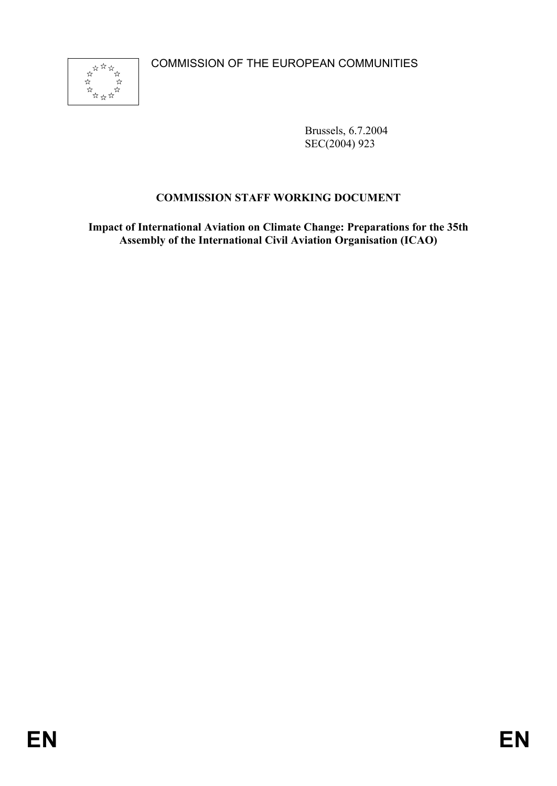

Brussels, 6.7.2004 SEC(2004) 923

# **COMMISSION STAFF WORKING DOCUMENT**

**Impact of International Aviation on Climate Change: Preparations for the 35th Assembly of the International Civil Aviation Organisation (ICAO)**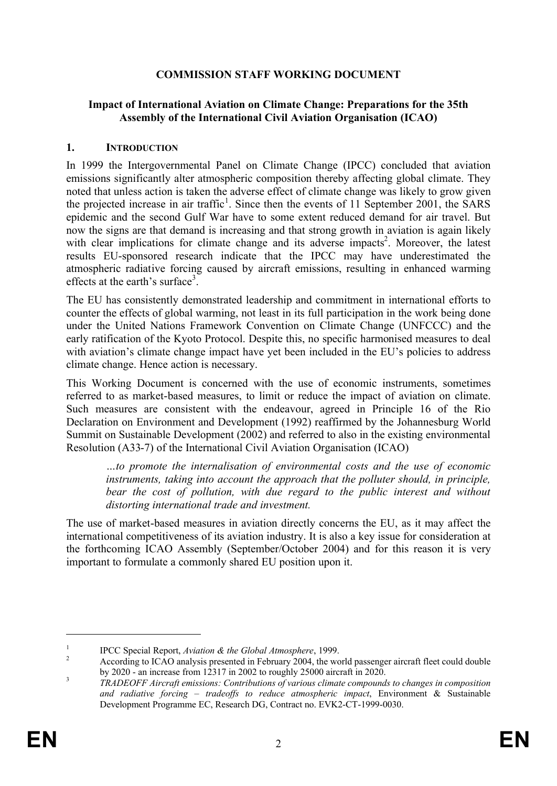### **COMMISSION STAFF WORKING DOCUMENT**

#### **Impact of International Aviation on Climate Change: Preparations for the 35th Assembly of the International Civil Aviation Organisation (ICAO)**

#### **1. INTRODUCTION**

In 1999 the Intergovernmental Panel on Climate Change (IPCC) concluded that aviation emissions significantly alter atmospheric composition thereby affecting global climate. They noted that unless action is taken the adverse effect of climate change was likely to grow given the projected increase in air traffic<sup>1</sup>. Since then the events of 11 September 2001, the SARS epidemic and the second Gulf War have to some extent reduced demand for air travel. But now the signs are that demand is increasing and that strong growth in aviation is again likely with clear implications for climate change and its adverse impacts<sup>2</sup>. Moreover, the latest results EU-sponsored research indicate that the IPCC may have underestimated the atmospheric radiative forcing caused by aircraft emissions, resulting in enhanced warming effects at the earth's surface<sup>3</sup>.

The EU has consistently demonstrated leadership and commitment in international efforts to counter the effects of global warming, not least in its full participation in the work being done under the United Nations Framework Convention on Climate Change (UNFCCC) and the early ratification of the Kyoto Protocol. Despite this, no specific harmonised measures to deal with aviation's climate change impact have yet been included in the EU's policies to address climate change. Hence action is necessary.

This Working Document is concerned with the use of economic instruments, sometimes referred to as market-based measures, to limit or reduce the impact of aviation on climate. Such measures are consistent with the endeavour, agreed in Principle 16 of the Rio Declaration on Environment and Development (1992) reaffirmed by the Johannesburg World Summit on Sustainable Development (2002) and referred to also in the existing environmental Resolution (A33-7) of the International Civil Aviation Organisation (ICAO)

*…to promote the internalisation of environmental costs and the use of economic instruments, taking into account the approach that the polluter should, in principle,*  bear the cost of pollution, with due regard to the public interest and without *distorting international trade and investment.*

The use of market-based measures in aviation directly concerns the EU, as it may affect the international competitiveness of its aviation industry. It is also a key issue for consideration at the forthcoming ICAO Assembly (September/October 2004) and for this reason it is very important to formulate a commonly shared EU position upon it.

<sup>1</sup> IPCC Special Report, *Aviation & the Global Atmosphere*, 1999.

<sup>&</sup>lt;sup>2</sup> According to ICAO analysis presented in February 2004, the world passenger aircraft fleet could double by 2020 - an increase from 12317 in 2002 to roughly 25000 aircraft in 2020.

<sup>3</sup> *TRADEOFF Aircraft emissions: Contributions of various climate compounds to changes in composition and radiative forcing – tradeoffs to reduce atmospheric impact*, Environment & Sustainable Development Programme EC, Research DG, Contract no. EVK2-CT-1999-0030.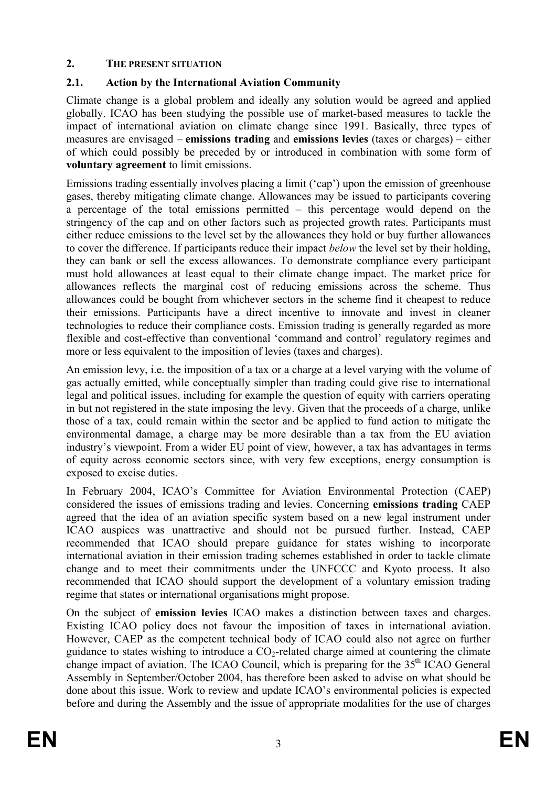## **2. THE PRESENT SITUATION**

# **2.1. Action by the International Aviation Community**

Climate change is a global problem and ideally any solution would be agreed and applied globally. ICAO has been studying the possible use of market-based measures to tackle the impact of international aviation on climate change since 1991. Basically, three types of measures are envisaged – **emissions trading** and **emissions levies** (taxes or charges) – either of which could possibly be preceded by or introduced in combination with some form of **voluntary agreement** to limit emissions.

Emissions trading essentially involves placing a limit ('cap') upon the emission of greenhouse gases, thereby mitigating climate change. Allowances may be issued to participants covering a percentage of the total emissions permitted – this percentage would depend on the stringency of the cap and on other factors such as projected growth rates. Participants must either reduce emissions to the level set by the allowances they hold or buy further allowances to cover the difference. If participants reduce their impact *below* the level set by their holding, they can bank or sell the excess allowances. To demonstrate compliance every participant must hold allowances at least equal to their climate change impact. The market price for allowances reflects the marginal cost of reducing emissions across the scheme. Thus allowances could be bought from whichever sectors in the scheme find it cheapest to reduce their emissions. Participants have a direct incentive to innovate and invest in cleaner technologies to reduce their compliance costs. Emission trading is generally regarded as more flexible and cost-effective than conventional 'command and control' regulatory regimes and more or less equivalent to the imposition of levies (taxes and charges).

An emission levy, i.e. the imposition of a tax or a charge at a level varying with the volume of gas actually emitted, while conceptually simpler than trading could give rise to international legal and political issues, including for example the question of equity with carriers operating in but not registered in the state imposing the levy. Given that the proceeds of a charge, unlike those of a tax, could remain within the sector and be applied to fund action to mitigate the environmental damage, a charge may be more desirable than a tax from the EU aviation industry's viewpoint. From a wider EU point of view, however, a tax has advantages in terms of equity across economic sectors since, with very few exceptions, energy consumption is exposed to excise duties.

In February 2004, ICAO's Committee for Aviation Environmental Protection (CAEP) considered the issues of emissions trading and levies. Concerning **emissions trading** CAEP agreed that the idea of an aviation specific system based on a new legal instrument under ICAO auspices was unattractive and should not be pursued further. Instead, CAEP recommended that ICAO should prepare guidance for states wishing to incorporate international aviation in their emission trading schemes established in order to tackle climate change and to meet their commitments under the UNFCCC and Kyoto process. It also recommended that ICAO should support the development of a voluntary emission trading regime that states or international organisations might propose.

On the subject of **emission levies** ICAO makes a distinction between taxes and charges. Existing ICAO policy does not favour the imposition of taxes in international aviation. However, CAEP as the competent technical body of ICAO could also not agree on further guidance to states wishing to introduce a  $CO<sub>2</sub>$ -related charge aimed at countering the climate change impact of aviation. The ICAO Council, which is preparing for the  $35<sup>th</sup>$  ICAO General Assembly in September/October 2004, has therefore been asked to advise on what should be done about this issue. Work to review and update ICAO's environmental policies is expected before and during the Assembly and the issue of appropriate modalities for the use of charges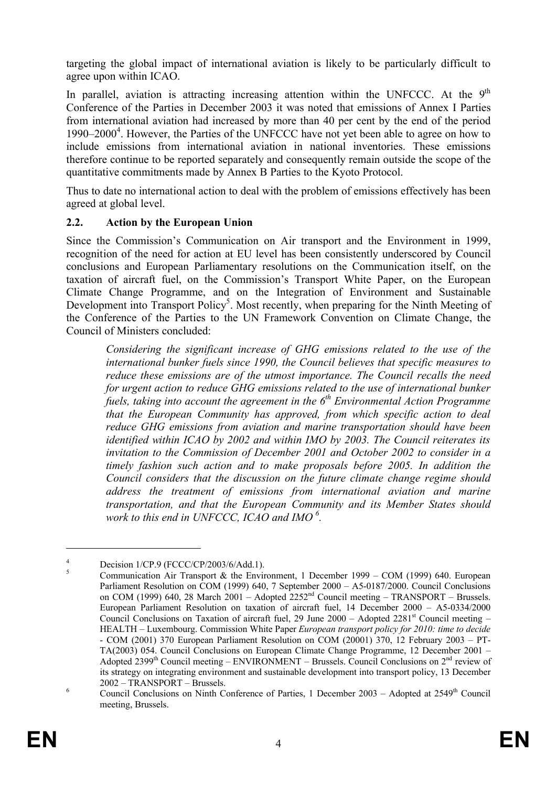targeting the global impact of international aviation is likely to be particularly difficult to agree upon within ICAO.

In parallel, aviation is attracting increasing attention within the UNFCCC. At the  $9<sup>th</sup>$ Conference of the Parties in December 2003 it was noted that emissions of Annex I Parties from international aviation had increased by more than 40 per cent by the end of the period 1990–2000<sup>4</sup>. However, the Parties of the UNFCCC have not yet been able to agree on how to include emissions from international aviation in national inventories. These emissions therefore continue to be reported separately and consequently remain outside the scope of the quantitative commitments made by Annex B Parties to the Kyoto Protocol.

Thus to date no international action to deal with the problem of emissions effectively has been agreed at global level.

### **2.2. Action by the European Union**

Since the Commission's Communication on Air transport and the Environment in 1999, recognition of the need for action at EU level has been consistently underscored by Council conclusions and European Parliamentary resolutions on the Communication itself, on the taxation of aircraft fuel, on the Commission's Transport White Paper, on the European Climate Change Programme, and on the Integration of Environment and Sustainable Development into Transport Policy<sup>5</sup>. Most recently, when preparing for the Ninth Meeting of the Conference of the Parties to the UN Framework Convention on Climate Change, the Council of Ministers concluded:

*Considering the significant increase of GHG emissions related to the use of the international bunker fuels since 1990, the Council believes that specific measures to reduce these emissions are of the utmost importance. The Council recalls the need for urgent action to reduce GHG emissions related to the use of international bunker fuels, taking into account the agreement in the 6th Environmental Action Programme that the European Community has approved, from which specific action to deal reduce GHG emissions from aviation and marine transportation should have been identified within ICAO by 2002 and within IMO by 2003. The Council reiterates its invitation to the Commission of December 2001 and October 2002 to consider in a timely fashion such action and to make proposals before 2005. In addition the Council considers that the discussion on the future climate change regime should address the treatment of emissions from international aviation and marine transportation, and that the European Community and its Member States should work to this end in UNFCCC, ICAO and IMO <sup>6</sup> .*

 $\frac{4}{1}$  Decision 1/CP.9 (FCCC/CP/2003/6/Add.1).

Communication Air Transport & the Environment, 1 December 1999 – COM (1999) 640. European Parliament Resolution on COM (1999) 640, 7 September 2000 – A5-0187/2000. Council Conclusions on COM (1999) 640, 28 March 2001 – Adopted 2252<sup>nd</sup> Council meeting – TRANSPORT – Brussels. European Parliament Resolution on taxation of aircraft fuel, 14 December 2000 – A5-0334/2000 Council Conclusions on Taxation of aircraft fuel, 29 June 2000 – Adopted 2281<sup>st</sup> Council meeting – HEALTH – Luxembourg. Commission White Paper *European transport policy for 2010: time to decide* - COM (2001) 370 European Parliament Resolution on COM (20001) 370, 12 February 2003 – PT-TA(2003) 054. Council Conclusions on European Climate Change Programme, 12 December 2001 – Adopted  $2399<sup>th</sup>$  Council meeting – ENVIRONMENT – Brussels. Council Conclusions on  $2<sup>nd</sup>$  review of its strategy on integrating environment and sustainable development into transport policy, 13 December 2002 – TRANSPORT – Brussels.

 $\frac{6}{100}$  Council Conclusions on Ninth Conference of Parties, 1 December 2003 – Adopted at 2549<sup>th</sup> Council meeting, Brussels.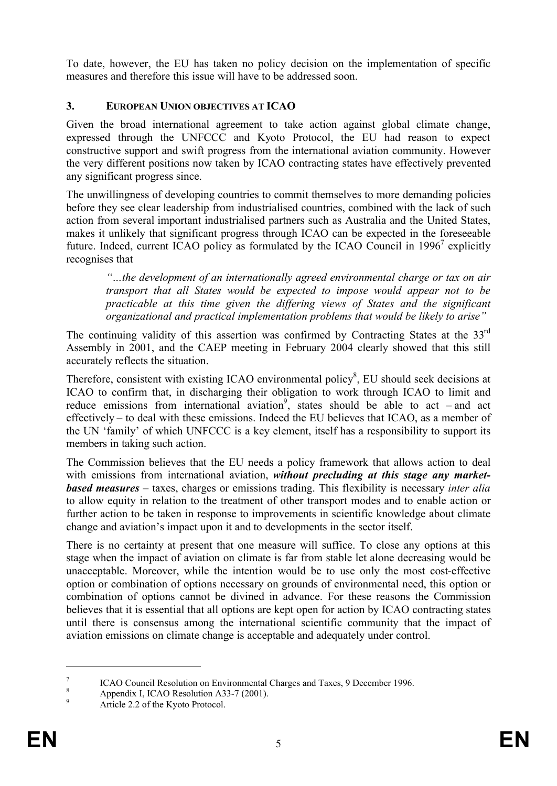To date, however, the EU has taken no policy decision on the implementation of specific measures and therefore this issue will have to be addressed soon.

### **3. EUROPEAN UNION OBJECTIVES AT ICAO**

Given the broad international agreement to take action against global climate change, expressed through the UNFCCC and Kyoto Protocol, the EU had reason to expect constructive support and swift progress from the international aviation community. However the very different positions now taken by ICAO contracting states have effectively prevented any significant progress since.

The unwillingness of developing countries to commit themselves to more demanding policies before they see clear leadership from industrialised countries, combined with the lack of such action from several important industrialised partners such as Australia and the United States, makes it unlikely that significant progress through ICAO can be expected in the foreseeable future. Indeed, current ICAO policy as formulated by the ICAO Council in 1996<sup>7</sup> explicitly recognises that

*"…the development of an internationally agreed environmental charge or tax on air transport that all States would be expected to impose would appear not to be practicable at this time given the differing views of States and the significant organizational and practical implementation problems that would be likely to arise"*

The continuing validity of this assertion was confirmed by Contracting States at the 33<sup>rd</sup> Assembly in 2001, and the CAEP meeting in February 2004 clearly showed that this still accurately reflects the situation.

Therefore, consistent with existing ICAO environmental policy $\delta$ , EU should seek decisions at ICAO to confirm that, in discharging their obligation to work through ICAO to limit and reduce emissions from international aviation<sup>9</sup>, states should be able to act – and act effectively – to deal with these emissions. Indeed the EU believes that ICAO, as a member of the UN 'family' of which UNFCCC is a key element, itself has a responsibility to support its members in taking such action.

The Commission believes that the EU needs a policy framework that allows action to deal with emissions from international aviation, *without precluding at this stage any marketbased measures* – taxes, charges or emissions trading. This flexibility is necessary *inter alia* to allow equity in relation to the treatment of other transport modes and to enable action or further action to be taken in response to improvements in scientific knowledge about climate change and aviation's impact upon it and to developments in the sector itself.

There is no certainty at present that one measure will suffice. To close any options at this stage when the impact of aviation on climate is far from stable let alone decreasing would be unacceptable. Moreover, while the intention would be to use only the most cost-effective option or combination of options necessary on grounds of environmental need, this option or combination of options cannot be divined in advance. For these reasons the Commission believes that it is essential that all options are kept open for action by ICAO contracting states until there is consensus among the international scientific community that the impact of aviation emissions on climate change is acceptable and adequately under control.

<sup>7</sup> ICAO Council Resolution on Environmental Charges and Taxes, 9 December 1996.

 $8 \rightarrow$  Appendix I, ICAO Resolution A33-7 (2001).

Article 2.2 of the Kyoto Protocol.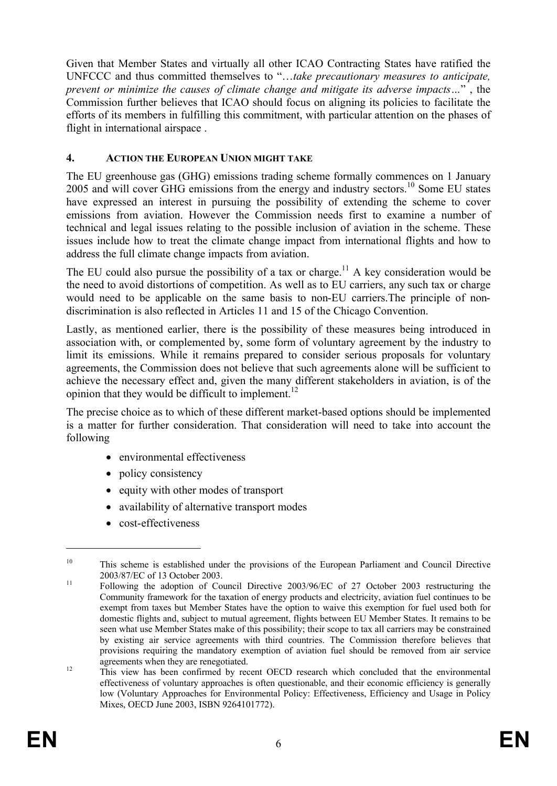Given that Member States and virtually all other ICAO Contracting States have ratified the UNFCCC and thus committed themselves to "…*take precautionary measures to anticipate, prevent or minimize the causes of climate change and mitigate its adverse impacts…*" , the Commission further believes that ICAO should focus on aligning its policies to facilitate the efforts of its members in fulfilling this commitment, with particular attention on the phases of flight in international airspace .

## **4. ACTION THE EUROPEAN UNION MIGHT TAKE**

The EU greenhouse gas (GHG) emissions trading scheme formally commences on 1 January 2005 and will cover GHG emissions from the energy and industry sectors.<sup>10</sup> Some EU states have expressed an interest in pursuing the possibility of extending the scheme to cover emissions from aviation. However the Commission needs first to examine a number of technical and legal issues relating to the possible inclusion of aviation in the scheme. These issues include how to treat the climate change impact from international flights and how to address the full climate change impacts from aviation.

The EU could also pursue the possibility of a tax or charge.<sup>11</sup> A key consideration would be the need to avoid distortions of competition. As well as to EU carriers, any such tax or charge would need to be applicable on the same basis to non-EU carriers.The principle of nondiscrimination is also reflected in Articles 11 and 15 of the Chicago Convention.

Lastly, as mentioned earlier, there is the possibility of these measures being introduced in association with, or complemented by, some form of voluntary agreement by the industry to limit its emissions. While it remains prepared to consider serious proposals for voluntary agreements, the Commission does not believe that such agreements alone will be sufficient to achieve the necessary effect and, given the many different stakeholders in aviation, is of the opinion that they would be difficult to implement.<sup>12</sup>

The precise choice as to which of these different market-based options should be implemented is a matter for further consideration. That consideration will need to take into account the following

- environmental effectiveness
- policy consistency
- equity with other modes of transport
- · availability of alternative transport modes
- cost-effectiveness

<sup>&</sup>lt;sup>10</sup> This scheme is established under the provisions of the European Parliament and Council Directive 2003/87/EC of 13 October 2003.

<sup>&</sup>lt;sup>11</sup> Following the adoption of Council Directive 2003/96/EC of 27 October 2003 restructuring the Community framework for the taxation of energy products and electricity, aviation fuel continues to be exempt from taxes but Member States have the option to waive this exemption for fuel used both for domestic flights and, subject to mutual agreement, flights between EU Member States. It remains to be seen what use Member States make of this possibility; their scope to tax all carriers may be constrained by existing air service agreements with third countries. The Commission therefore believes that provisions requiring the mandatory exemption of aviation fuel should be removed from air service agreements when they are renegotiated.

<sup>&</sup>lt;sup>12</sup> This view has been confirmed by recent OECD research which concluded that the environmental effectiveness of voluntary approaches is often questionable, and their economic efficiency is generally low (Voluntary Approaches for Environmental Policy: Effectiveness, Efficiency and Usage in Policy Mixes, OECD June 2003, ISBN 9264101772).